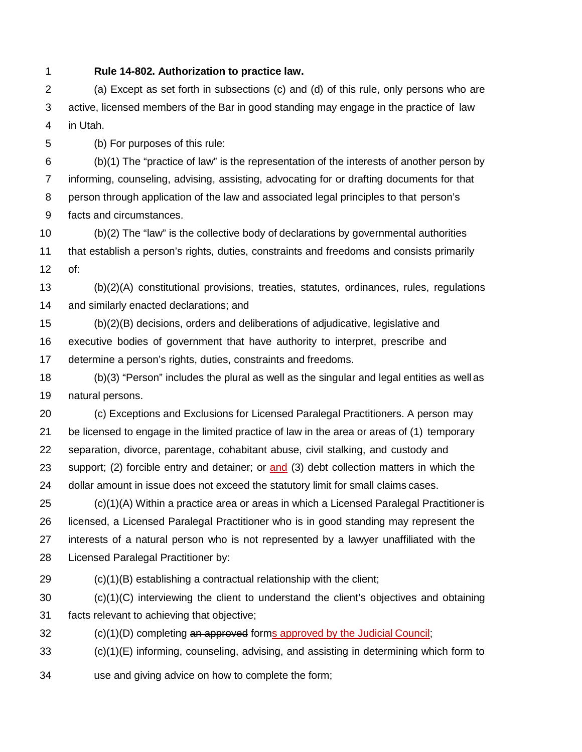**Rule 14-802. Authorization to practice law.**

 (a) Except as set forth in subsections (c) and (d) of this rule, only persons who are active, licensed members of the Bar in good standing may engage in the practice of law in Utah.

(b) For purposes of this rule:

 (b)(1) The "practice of law" is the representation of the interests of another person by informing, counseling, advising, assisting, advocating for or drafting documents for that person through application of the law and associated legal principles to that person's facts and circumstances.

 (b)(2) The "law" is the collective body of declarations by governmental authorities that establish a person's rights, duties, constraints and freedoms and consists primarily of:

 (b)(2)(A) constitutional provisions, treaties, statutes, ordinances, rules, regulations and similarly enacted declarations; and

 (b)(2)(B) decisions, orders and deliberations of adjudicative, legislative and executive bodies of government that have authority to interpret, prescribe and determine a person's rights, duties, constraints and freedoms.

 (b)(3) "Person" includes the plural as well as the singular and legal entities as well as natural persons.

 (c) Exceptions and Exclusions for Licensed Paralegal Practitioners. A person may be licensed to engage in the limited practice of law in the area or areas of (1) temporary separation, divorce, parentage, cohabitant abuse, civil stalking, and custody and 23 support; (2) forcible entry and detainer; or and (3) debt collection matters in which the dollar amount in issue does not exceed the statutory limit for small claims cases.

 (c)(1)(A) Within a practice area or areas in which a Licensed Paralegal Practitioneris licensed, a Licensed Paralegal Practitioner who is in good standing may represent the interests of a natural person who is not represented by a lawyer unaffiliated with the Licensed Paralegal Practitioner by:

(c)(1)(B) establishing a contractual relationship with the client;

 (c)(1)(C) interviewing the client to understand the client's objectives and obtaining facts relevant to achieving that objective;

(c)(1)(D) completing an approved forms approved by the Judicial Council;

(c)(1)(E) informing, counseling, advising, and assisting in determining which form to

use and giving advice on how to complete the form;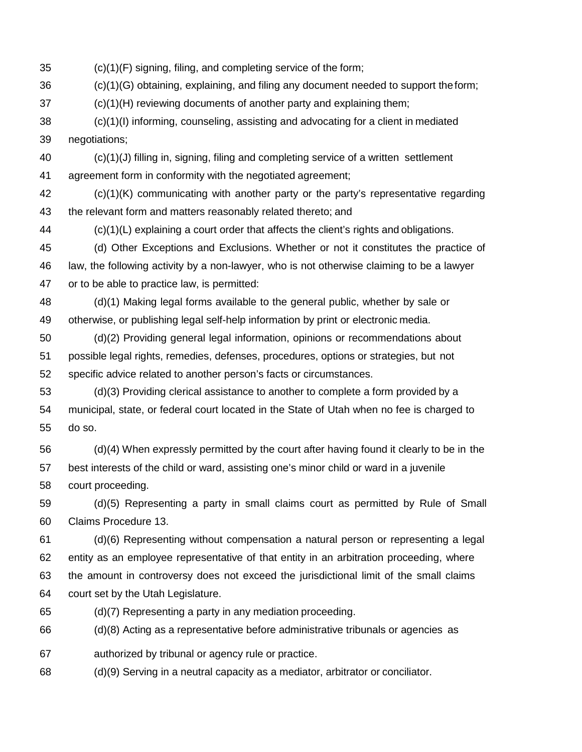(c)(1)(F) signing, filing, and completing service of the form;

(c)(1)(G) obtaining, explaining, and filing any document needed to support theform;

(c)(1)(H) reviewing documents of another party and explaining them;

 (c)(1)(I) informing, counseling, assisting and advocating for a client in mediated negotiations;

 (c)(1)(J) filling in, signing, filing and completing service of a written settlement agreement form in conformity with the negotiated agreement;

 (c)(1)(K) communicating with another party or the party's representative regarding the relevant form and matters reasonably related thereto; and

(c)(1)(L) explaining a court order that affects the client's rights and obligations.

 (d) Other Exceptions and Exclusions. Whether or not it constitutes the practice of law, the following activity by a non-lawyer, who is not otherwise claiming to be a lawyer or to be able to practice law, is permitted:

 (d)(1) Making legal forms available to the general public, whether by sale or otherwise, or publishing legal self-help information by print or electronic media.

 (d)(2) Providing general legal information, opinions or recommendations about possible legal rights, remedies, defenses, procedures, options or strategies, but not specific advice related to another person's facts or circumstances.

 (d)(3) Providing clerical assistance to another to complete a form provided by a municipal, state, or federal court located in the State of Utah when no fee is charged to do so.

 (d)(4) When expressly permitted by the court after having found it clearly to be in the best interests of the child or ward, assisting one's minor child or ward in a juvenile court proceeding.

 (d)(5) Representing a party in small claims court as permitted by Rule of Small Claims Procedure 13.

 (d)(6) Representing without compensation a natural person or representing a legal entity as an employee representative of that entity in an arbitration proceeding, where the amount in controversy does not exceed the jurisdictional limit of the small claims court set by the Utah Legislature.

(d)(7) Representing a party in any mediation proceeding.

(d)(8) Acting as a representative before administrative tribunals or agencies as

authorized by tribunal or agency rule or practice.

(d)(9) Serving in a neutral capacity as a mediator, arbitrator or conciliator.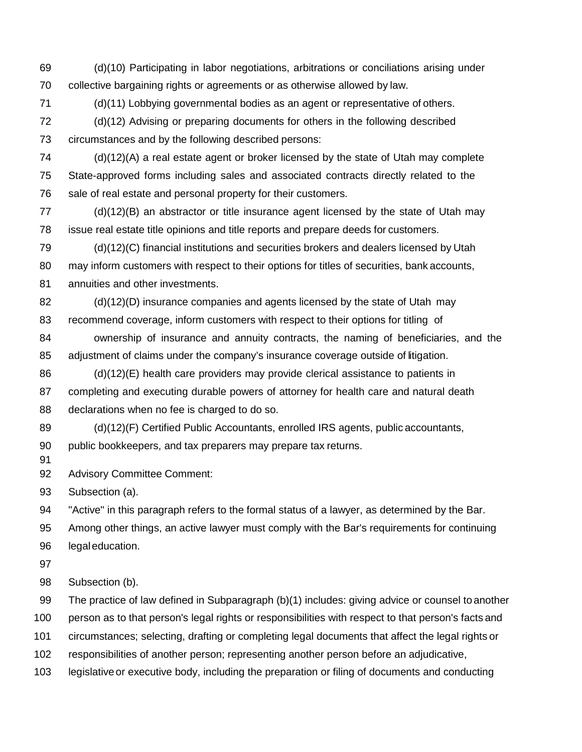(d)(10) Participating in labor negotiations, arbitrations or conciliations arising under collective bargaining rights or agreements or as otherwise allowed by law.

(d)(11) Lobbying governmental bodies as an agent or representative of others.

 (d)(12) Advising or preparing documents for others in the following described circumstances and by the following described persons:

 (d)(12)(A) a real estate agent or broker licensed by the state of Utah may complete State-approved forms including sales and associated contracts directly related to the sale of real estate and personal property for their customers.

 (d)(12)(B) an abstractor or title insurance agent licensed by the state of Utah may issue real estate title opinions and title reports and prepare deeds for customers.

 (d)(12)(C) financial institutions and securities brokers and dealers licensed by Utah may inform customers with respect to their options for titles of securities, bank accounts,

annuities and other investments.

 (d)(12)(D) insurance companies and agents licensed by the state of Utah may recommend coverage, inform customers with respect to their options for titling of

 ownership of insurance and annuity contracts, the naming of beneficiaries, and the adjustment of claims under the company's insurance coverage outside of litigation.

 (d)(12)(E) health care providers may provide clerical assistance to patients in completing and executing durable powers of attorney for health care and natural death declarations when no fee is charged to do so.

 (d)(12)(F) Certified Public Accountants, enrolled IRS agents, public accountants, public bookkeepers, and tax preparers may prepare tax returns.

92 Advisory Committee Comment:

Subsection (a).

"Active" in this paragraph refers to the formal status of a lawyer, as determined by the Bar.

Among other things, an active lawyer must comply with the Bar's requirements for continuing

legaleducation.

Subsection (b).

The practice of law defined in Subparagraph (b)(1) includes: giving advice or counsel toanother

person as to that person's legal rights or responsibilities with respect to that person's facts and

circumstances; selecting, drafting or completing legal documents that affect the legal rights or

responsibilities of another person; representing another person before an adjudicative,

legislative or executive body, including the preparation or filing of documents and conducting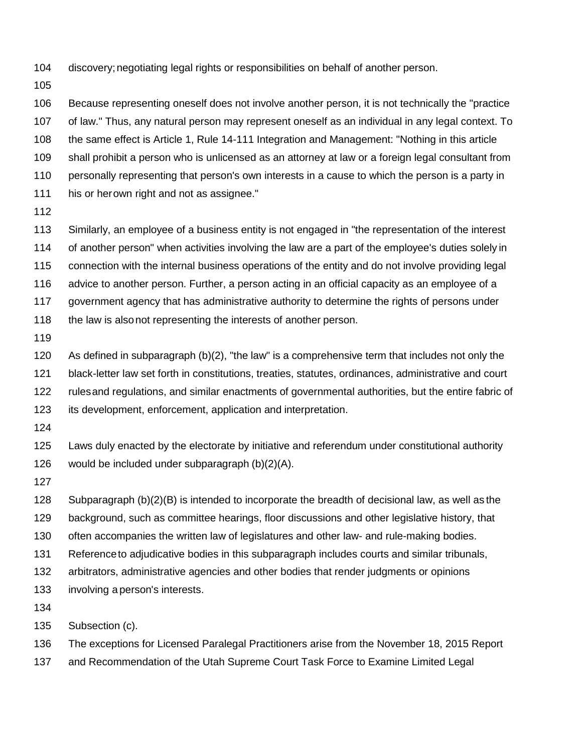- discovery;negotiating legal rights or responsibilities on behalf of another person.
- 

 Because representing oneself does not involve another person, it is not technically the "practice of law." Thus, any natural person may represent oneself as an individual in any legal context. To the same effect is Article 1, Rule 14-111 Integration and Management: "Nothing in this article shall prohibit a person who is unlicensed as an attorney at law or a foreign legal consultant from personally representing that person's own interests in a cause to which the person is a party in his or herown right and not as assignee."

 Similarly, an employee of a business entity is not engaged in "the representation of the interest of another person" when activities involving the law are a part of the employee's duties solely in connection with the internal business operations of the entity and do not involve providing legal advice to another person. Further, a person acting in an official capacity as an employee of a government agency that has administrative authority to determine the rights of persons under 118 the law is alsonot representing the interests of another person.

 As defined in subparagraph (b)(2), "the law" is a comprehensive term that includes not only the black-letter law set forth in constitutions, treaties, statutes, ordinances, administrative and court rulesand regulations, and similar enactments of governmental authorities, but the entire fabric of its development, enforcement, application and interpretation.

 Laws duly enacted by the electorate by initiative and referendum under constitutional authority would be included under subparagraph (b)(2)(A).

 Subparagraph (b)(2)(B) is intended to incorporate the breadth of decisional law, as well as the background, such as committee hearings, floor discussions and other legislative history, that

- often accompanies the written law of legislatures and other law- and rule-making bodies.
- Referenceto adjudicative bodies in this subparagraph includes courts and similar tribunals,
- arbitrators, administrative agencies and other bodies that render judgments or opinions
- involving a person's interests.
- 

Subsection (c).

The exceptions for Licensed Paralegal Practitioners arise from the November 18, 2015 Report

and Recommendation of the Utah Supreme Court Task Force to Examine Limited Legal